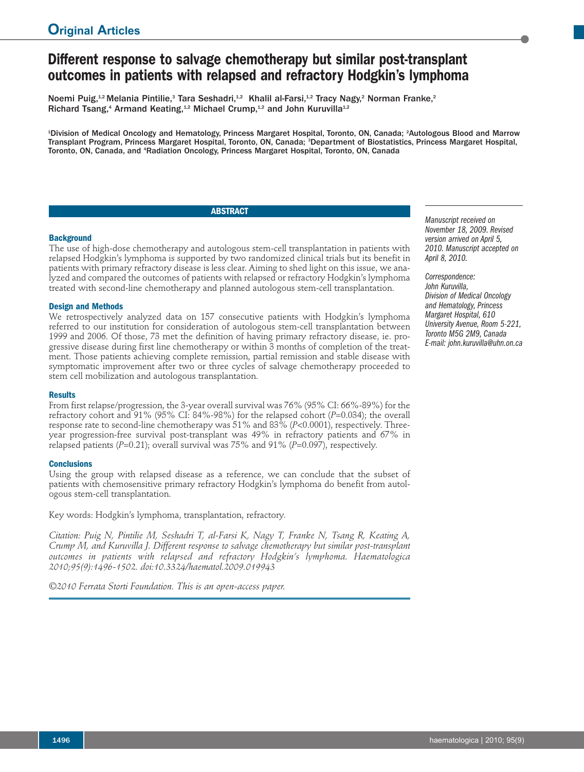# **Different response to salvage chemotherapy but similar post-transplant outcomes in patients with relapsed and refractory Hodgkin's lymphoma**

Noemi Puig,<sup>12</sup> Melania Pintilie,<sup>3</sup> Tara Seshadri,<sup>12</sup> Khalil al-Farsi,<sup>12</sup> Tracy Nagy,<sup>2</sup> Norman Franke,<sup>2</sup> Richard Tsang,<sup>4</sup> Armand Keating,<sup>1,2</sup> Michael Crump,<sup>1,2</sup> and John Kuruvilla<sup>1,2</sup>

1 Division of Medical Oncology and Hematology, Princess Margaret Hospital, Toronto, ON, Canada; <sup>2</sup> Autologous Blood and Marrow Transplant Program, Princess Margaret Hospital, Toronto, ON, Canada; <sup>3</sup>Department of Biostatistics, Princess Margaret Hospital, Toronto, ON, Canada, and <sup>4</sup> Radiation Oncology, Princess Margaret Hospital, Toronto, ON, Canada

# **ABSTRACT**

#### **Background**

The use of high-dose chemotherapy and autologous stem-cell transplantation in patients with relapsed Hodgkin's lymphoma is supported by two randomized clinical trials but its benefit in patients with primary refractory disease is less clear. Aiming to shed light on this issue, we analyzed and compared the outcomes of patients with relapsed or refractory Hodgkin's lymphoma treated with second-line chemotherapy and planned autologous stem-cell transplantation.

#### **Design and Methods**

We retrospectively analyzed data on 157 consecutive patients with Hodgkin's lymphoma referred to our institution for consideration of autologous stem-cell transplantation between 1999 and 2006. Of those, 73 met the definition of having primary refractory disease, ie. progressive disease during first line chemotherapy or within 3 months of completion of the treatment. Those patients achieving complete remission, partial remission and stable disease with symptomatic improvement after two or three cycles of salvage chemotherapy proceeded to stem cell mobilization and autologous transplantation.

### **Results**

From first relapse/progression, the 3-year overall survival was 76% (95% CI: 66%-89%) for the refractory cohort and 91% (95% CI: 84%-98%) for the relapsed cohort (*P*=0.034); the overall response rate to second-line chemotherapy was 51% and 83% (*P*<0.0001), respectively. Threeyear progression-free survival post-transplant was 49% in refractory patients and 67% in relapsed patients (*P*=0.21); overall survival was 75% and 91% (*P*=0.097), respectively.

### **Conclusions**

Using the group with relapsed disease as a reference, we can conclude that the subset of patients with chemosensitive primary refractory Hodgkin's lymphoma do benefit from autologous stem-cell transplantation.

Key words: Hodgkin's lymphoma, transplantation, refractory.

*Citation: Puig N, Pintilie M, Seshadri T, al-Farsi K, Nagy T, Franke N, Tsang R, Keating A, Crump M, and Kuruvilla J. Different response to salvage chemotherapy but similar post-transplant outcomes in patients with relapsed and refractory Hodgkin's lymphoma. Haematologica 2010;95(9):1496-1502. doi:10.3324/haematol.2009.019943*

*©2010 Ferrata Storti Foundation. This is an open-access paper.*

*Manuscript received on November 18, 2009. Revised version arrived on April 5, 2010. Manuscript accepted on April 8, 2010.*

*Correspondence: John Kuruvilla, Division of Medical Oncology and Hematology, Princess Margaret Hospital, 610 University Avenue, Room 5-221, Toronto M5G 2M9, Canada E-mail: john.kuruvilla@uhn.on.ca*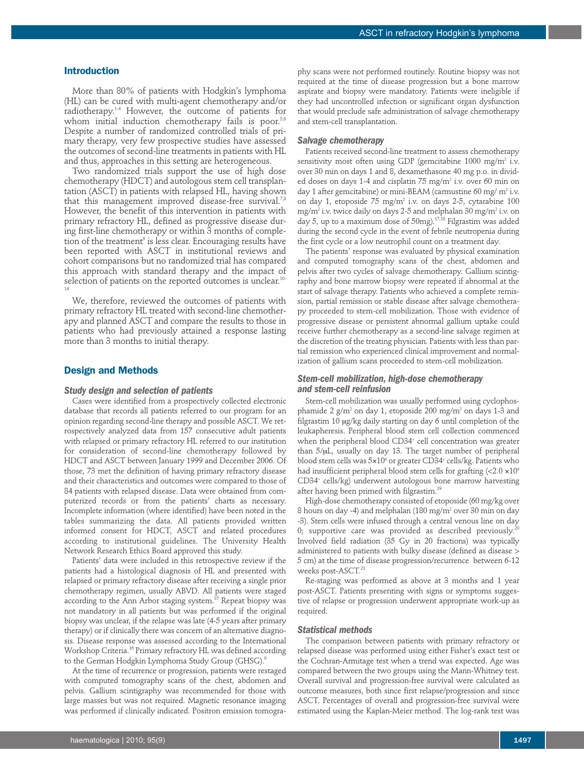# **Introduction**

More than 80% of patients with Hodgkin's lymphoma (HL) can be cured with multi-agent chemotherapy and/or radiotherapy. 1-4 However, the outcome of patients for whom initial induction chemotherapy fails is poor. 5,6 Despite a number of randomized controlled trials of primary therapy, very few prospective studies have assessed the outcomes of second-line treatments in patients with HL and thus, approaches in this setting are heterogeneous.

Two randomized trials support the use of high dose chemotherapy (HDCT) and autologous stem cell transplantation (ASCT) in patients with relapsed HL, having shown that this management improved disease-free survival. $^{7,8}$ However, the benefit of this intervention in patients with primary refractory HL, defined as progressive disease during first-line chemotherapy or within 3 months of completion of the treatment <sup>9</sup> is less clear. Encouraging results have been reported with ASCT in institutional reviews and cohort comparisons but no randomized trial has compared this approach with standard therapy and the impact of selection of patients on the reported outcomes is unclear. $^{\scriptscriptstyle 10}$ 14

We, therefore, reviewed the outcomes of patients with primary refractory HL treated with second-line chemotherapy and planned ASCT and compare the results to those in patients who had previously attained a response lasting more than 3 months to initial therapy.

# **Design and Methods**

# *Study design and selection of patients*

Cases were identified from a prospectively collected electronic database that records all patients referred to our program for an opinion regarding second-line therapy and possible ASCT. We retrospectively analyzed data from 157 consecutive adult patients with relapsed or primary refractory HL referred to our institution for consideration of second-line chemotherapy followed by HDCT and ASCT between January 1999 and December 2006. Of those, 73 met the definition of having primary refractory disease and their characteristics and outcomes were compared to those of 84 patients with relapsed disease. Data were obtained from computerized records or from the patients' charts as necessary. Incomplete information (where identified) have been noted in the tables summarizing the data. All patients provided written informed consent for HDCT, ASCT and related procedures according to institutional guidelines. The University Health Network Research Ethics Board approved this study.

Patients' data were included in this retrospective review if the patients had a histological diagnosis of HL and presented with relapsed or primary refractory disease after receiving a single prior chemotherapy regimen, usually ABVD. All patients were staged according to the Ann Arbor staging system.<sup>15</sup> Repeat biopsy was not mandatory in all patients but was performed if the original biopsy was unclear, if the relapse was late (4-5 years after primary therapy) or if clinically there was concern of an alternative diagnosis. Disease response was assessed according to the International Workshop Criteria. <sup>16</sup> Primary refractory HL was defined according to the German Hodgkin Lymphoma Study Group (GHSG).<sup>9</sup>

At the time of recurrence or progression, patients were restaged with computed tomography scans of the chest, abdomen and pelvis. Gallium scintigraphy was recommended for those with large masses but was not required. Magnetic resonance imaging was performed if clinically indicated. Positron emission tomogra-

phy scans were not performed routinely. Routine biopsy was not required at the time of disease progression but a bone marrow aspirate and biopsy were mandatory. Patients were ineligible if they had uncontrolled infection or significant organ dysfunction that would preclude safe administration of salvage chemotherapy and stem-cell transplantation.

## *Salvage chemotherapy*

Patients received second-line treatment to assess chemotherapy sensitivity most often using GDP (gemcitabine  $1000 \text{ mg/m}^2$  i.v. over 30 min on days 1 and 8, dexamethasone 40 mg p.o. in divided doses on days 1-4 and cisplatin 75 mg/m<sup>2</sup> i.v. over 60 min on day 1 after gemcitabine) or mini-BEAM (carmustine 60 mg/ m<sup>2</sup> i.v. on day 1, etoposide 75 mg/m<sup>2</sup> i.v. on days 2-5, cytarabine 100 mg/m<sup>2</sup> i.v. twice daily on days 2-5 and melphalan 30 mg/m<sup>2</sup> i.v. on day 5, up to a maximum dose of 50mg). 17,18 Filgrastim was added during the second cycle in the event of febrile neutropenia during the first cycle or a low neutrophil count on a treatment day.

The patients' response was evaluated by physical examination and computed tomography scans of the chest, abdomen and pelvis after two cycles of salvage chemotherapy. Gallium scintigraphy and bone marrow biopsy were repeated if abnormal at the start of salvage therapy. Patients who achieved a complete remission, partial remission or stable disease after salvage chemotherapy proceeded to stem-cell mobilization. Those with evidence of progressive disease or persistent abnormal gallium uptake could receive further chemotherapy as a second-line salvage regimen at the discretion of the treating physician. Patients with less than partial remission who experienced clinical improvement and normalization of gallium scans proceeded to stem-cell mobilization.

## *Stem-cell mobilization, high-dose chemotherapy and stem-cell reinfusion*

Stem-cell mobilization was usually performed using cyclophosphamide  $2$  g/m<sup>2</sup> on day 1, etoposide  $200$  mg/m<sup>2</sup> on days 1-3 and filgrastim 10 µg/kg daily starting on day 6 until completion of the leukapheresis. Peripheral blood stem cell collection commenced when the peripheral blood CD34<sup>+</sup> cell concentration was greater than 5/µL, usually on day 13. The target number of peripheral blood stem cells was 5×10<sup>6</sup> or greater CD34<sup>+</sup> cells/kg. Patients who had insufficient peripheral blood stem cells for grafting  $\langle 2.0 \times 10^6 \rangle$ CD34+ cells/kg) underwent autologous bone marrow harvesting after having been primed with filgrastim.<sup>19</sup>

High-dose chemotherapy consisted of etoposide (60 mg/kg over 8 hours on day -4) and melphalan (180 mg/m2 over 30 min on day -3). Stem cells were infused through a central venous line on day 0; supportive care was provided as described previously.<sup>20</sup> Involved field radiation (35 Gy in 20 fractions) was typically administered to patients with bulky disease (defined as disease > 5 cm) at the time of disease progression/recurrence between 6-12 weeks post-ASCT. 21

Re-staging was performed as above at 3 months and 1 year post-ASCT. Patients presenting with signs or symptoms suggestive of relapse or progression underwent appropriate work-up as required.

#### *Statistical methods*

The comparison between patients with primary refractory or relapsed disease was performed using either Fisher's exact test or the Cochran-Armitage test when a trend was expected. Age was compared between the two groups using the Mann-Whitney test. Overall survival and progression-free survival were calculated as outcome measures, both since first relapse/progression and since ASCT. Percentages of overall and progression-free survival were estimated using the Kaplan-Meier method. The log-rank test was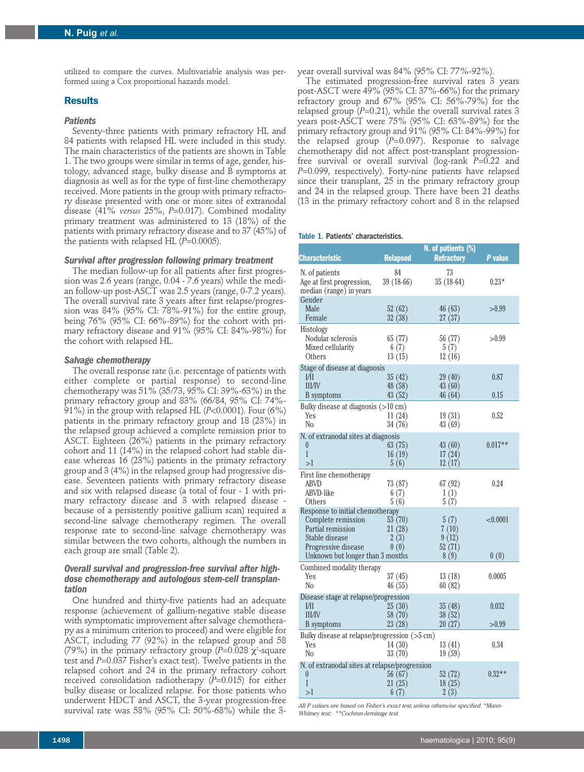utilized to compare the curves. Multivariable analysis was performed using a Cox proportional hazards model.

## **Results**

#### *Patients*

Seventy-three patients with primary refractory HL and 84 patients with relapsed HL were included in this study. The main characteristics of the patients are shown in Table 1. The two groups were similar in terms of age, gender, histology, advanced stage, bulky disease and B symptoms at diagnosis as well as for the type of first-line chemotherapy received. More patients in the group with primary refractory disease presented with one or more sites of extranodal disease (41% *versus* 25%, *P*=0.017). Combined modality primary treatment was administered to 13 (18%) of the patients with primary refractory disease and to 37 (45%) of the patients with relapsed HL (*P*=0.0005).

#### *Survival after progression following primary treatment*

The median follow-up for all patients after first progression was 2.6 years (range, 0.04 - 7.6 years) while the median follow-up post-ASCT was 2.5 years (range, 0-7.2 years). The overall survival rate 3 years after first relapse/progression was 84% (95% CI: 78%-91%) for the entire group, being 76% (95% CI: 66%-89%) for the cohort with primary refractory disease and 91% (95% CI: 84%-98%) for the cohort with relapsed HL.

#### *Salvage chemotherapy*

The overall response rate (i.e. percentage of patients with either complete or partial response) to second-line chemotherapy was 51% (35/73, 95% CI: 39%-63%) in the primary refractory group and 83% (66/84, 95% CI: 74%- 91%) in the group with relapsed HL (*P*<0.0001). Four (6%) patients in the primary refractory group and 18 (23%) in the relapsed group achieved a complete remission prior to ASCT. Eighteen (26%) patients in the primary refractory cohort and 11 (14%) in the relapsed cohort had stable disease whereas 16 (23%) patients in the primary refractory group and 3 (4%) in the relapsed group had progressive disease. Seventeen patients with primary refractory disease and six with relapsed disease (a total of four - 1 with primary refractory disease and 3 with relapsed disease because of a persistently positive gallium scan) required a second-line salvage chemotherapy regimen. The overall response rate to second-line salvage chemotherapy was similar between the two cohorts, although the numbers in each group are small (Table 2).

## *Overall survival and progression-free survival after highdose chemotherapy and autologous stem-cell transplantation*

One hundred and thirty-five patients had an adequate response (achievement of gallium-negative stable disease with symptomatic improvement after salvage chemotherapy as a minimum criterion to proceed) and were eligible for ASCT, including 77 (92%) in the relapsed group and 58 (79%) in the primary refractory group (P=0.028 χ²-square test and *P*=0.037 Fisher's exact test). Twelve patients in the relapsed cohort and 24 in the primary refractory cohort received consolidation radiotherapy (*P*=0.015) for either bulky disease or localized relapse. For those patients who underwent HDCT and ASCT, the 3-year progression-free survival rate was 58% (95% CI: 50%-68%) while the 3year overall survival was 84% (95% CI: 77%-92%).

The estimated progression-free survival rates 3 years post-ASCT were 49% (95% CI: 37%-66%) for the primary refractory group and 67% (95% CI: 56%-79%) for the relapsed group  $(P=0.21)$ , while the overall survival rates 3 years post-ASCT were 75% (95% CI: 63%-89%) for the primary refractory group and 91% (95% CI: 84%-99%) for the relapsed group (*P*=0.097). Response to salvage chemotherapy did not affect post-transplant progressionfree survival or overall survival (log-rank *P*=0.22 and *P*=0.099, respectively). Forty-nine patients have relapsed since their transplant, 25 in the primary refractory group and 24 in the relapsed group. There have been 21 deaths (13 in the primary refractory cohort and 8 in the relapsed

#### Table 1. Patients' characteristics.

| <b>Characteristic</b>                                                                                                | <b>Relapsed</b>                   | N. of patients (%)<br><b>Refractory</b> | P value        |
|----------------------------------------------------------------------------------------------------------------------|-----------------------------------|-----------------------------------------|----------------|
| N. of patients<br>Age at first progression,<br>median (range) in years                                               | 84<br>$39(18-66)$                 | 73<br>$35(18-64)$                       | $0.23*$        |
| Gender<br>Male<br>Female                                                                                             | 52 (62)<br>32(38)                 | 46(63)<br>27(37)                        | >0.99          |
| Histology<br>Nodular sclerosis<br>Mixed cellularity<br>Others                                                        | 65 (77)<br>6(7)<br>13(15)         | 56 (77)<br>5(7)<br>12(16)               | >0.99          |
| Stage of disease at diagnosis<br>ИΙ<br><b>III/IV</b><br><b>B</b> symptoms                                            | 35 (42)<br>48 (58)<br>43(52)      | 29(40)<br>43(60)<br>46(64)              | 0.87<br>0.15   |
| Bulky disease at diagnosis $(>10 \text{ cm})$<br>Yes<br>N <sub>0</sub>                                               | 11(24)<br>34 (76)                 | 19(31)<br>43 (69)                       | 0.52           |
| N. of extranodal sites at diagnosis<br>0<br>1<br>>1                                                                  | 63 (75)<br>16(19)<br>5(6)         | 43(60)<br>17(24)<br>12(17)              | $0.017**$      |
| First line chemotherapy<br>ABVD<br>ABVD-like<br>Others                                                               | 73 (87)<br>6(7)<br>5(6)           | 67 (92)<br>1(1)<br>5(7)                 | 0.24           |
| Response to initial chemotherapy<br>Complete remission<br>Partial remission<br>Stable disease<br>Progressive disease | 53 (70)<br>21(28)<br>2(3)<br>0(0) | 5(7)<br>7(10)<br>9(12)<br>52(71)        | < 0.0001       |
| Unknown but longer than 3 months<br>Combined modality therapy<br>Yes<br>N <sub>o</sub>                               | 37(45)<br>46(55)                  | 8(9)<br>13 (18)<br>60(82)               | 0(0)<br>0.0005 |
| Disease stage at relapse/progression<br>ИΙ<br><b>III/IV</b><br>B symptoms                                            | 25 (30)<br>58 (70)<br>23(28)      | 35 (48)<br>38(52)<br>20 (27)            | 0.032<br>>0.99 |
| Bulky disease at relapse/progression (>5 cm)<br><b>Yes</b><br>No                                                     | 14(30)<br>33 (70)                 | 13(41)<br>19(59)                        | 0.34           |
| N. of extranodal sites at relapse/progression<br>$\theta$<br>1<br>>1                                                 | 56 (67)<br>21(25)<br>6(7)         | 52 (72)<br>18(25)<br>2(3)               | $0.32**$       |

*All P values are based on Fisher's exact test,unless otherwise specified.\*Mann-Whitney test; \*\*Cochran-Armitage test.*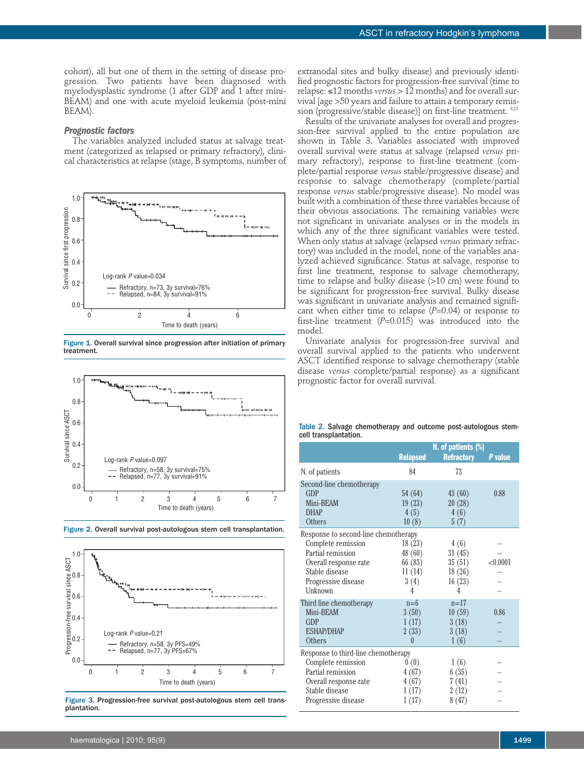cohort), all but one of them in the setting of disease progression. Two patients have been diagnosed with myelodysplastic syndrome (1 after GDP and 1 after mini-BEAM) and one with acute myeloid leukemia (post-mini BEAM).

#### *Prognostic factors*

The variables analyzed included status at salvage treatment (categorized as relapsed or primary refractory), clinical characteristics at relapse (stage, B symptoms, number of



Figure 1. Overall survival since progression after initiation of primary treatment.





Figure 2. Overall survival post-autologous stem cell transplantation.

Figure 3. Progression-free survival post-autologous stem cell transplantation.

extranodal sites and bulky disease) and previously identified prognostic factors for progression-free survival (time to relapse: ≤12 months *versus* > 12 months) and for overall survival [age >50 years and failure to attain a temporary remission (progressive/stable disease)] on first-line treatment. <sup>9,22</sup>

Results of the univariate analyses for overall and progression-free survival applied to the entire population are shown in Table 3. Variables associated with improved overall survival were status at salvage (relapsed *versus* primary refractory), response to first-line treatment (complete/partial response *versus* stable/progressive disease) and response to salvage chemotherapy (complete/partial response *versus* stable/progressive disease). No model was built with a combination of these three variables because of their obvious associations. The remaining variables were not significant in univariate analyses or in the models in which any of the three significant variables were tested. When only status at salvage (relapsed *versus* primary refractory) was included in the model, none of the variables analyzed achieved significance. Status at salvage, response to first line treatment, response to salvage chemotherapy, time to relapse and bulky disease (>10 cm) were found to be significant for progression-free survival. Bulky disease was significant in univariate analysis and remained significant when either time to relapse (*P*=0.04) or response to first-line treatment (*P*=0.015) was introduced into the model.

Univariate analysis for progression-free survival and overall survival applied to the patients who underwent ASCT identified response to salvage chemotherapy (stable disease *versus* complete/partial response) as a significant prognostic factor for overall survival.

| Table 2. Salvage chemotherapy and outcome post-autologous stem- |  |  |  |
|-----------------------------------------------------------------|--|--|--|
| cell transplantation.                                           |  |  |  |

|                                      | <b>Relapsed</b> | N. of patients (%)<br><b>Refractory</b> | P value  |  |  |  |
|--------------------------------------|-----------------|-----------------------------------------|----------|--|--|--|
| N. of patients                       | 84              | 73                                      |          |  |  |  |
| Second-line chemotherapy             |                 |                                         |          |  |  |  |
| GDP                                  | 54 (64)         | 43(60)                                  | 0.88     |  |  |  |
| Mini-BEAM                            | 19(23)          | 20(28)                                  |          |  |  |  |
| <b>DHAP</b>                          | 4(5)            | 4(6)                                    |          |  |  |  |
| Others                               | 10(8)           | 5(7)                                    |          |  |  |  |
| Response to second-line chemotherapy |                 |                                         |          |  |  |  |
| Complete remission                   | 18(23)          | 4(6)                                    |          |  |  |  |
| Partial remission                    | 48(60)          | 31(45)                                  |          |  |  |  |
| Overall response rate                | 66 (83)         | 35(51)                                  | < 0.0001 |  |  |  |
| Stable disease                       | 11(14)          | 18(26)                                  |          |  |  |  |
| Progressive disease                  | 3(4)            | 16(23)                                  |          |  |  |  |
| <b>Unknown</b>                       | 4               | 4                                       |          |  |  |  |
| Third line chemotherapy              | $n=6$           | $n=17$                                  |          |  |  |  |
| Mini-BEAM                            | 3(50)           | 10(59)                                  | 0.86     |  |  |  |
| GDP                                  | 1(17)           | 3(18)                                   |          |  |  |  |
| <b>ESHAP/DHAP</b>                    | 2(33)           | 3(18)                                   |          |  |  |  |
| Others                               | $\theta$        | 1(6)                                    |          |  |  |  |
| Response to third-line chemotherapy  |                 |                                         |          |  |  |  |
| Complete remission                   | 0(0)            | 1(6)                                    |          |  |  |  |
| Partial remission                    | 4(67)           | 6(35)                                   |          |  |  |  |
| Overall response rate                | 4(67)           | 7(41)                                   |          |  |  |  |
| Stable disease                       | 1(17)           | 2(12)                                   |          |  |  |  |
| Progressive disease                  | 1(17)           | 8(47)                                   |          |  |  |  |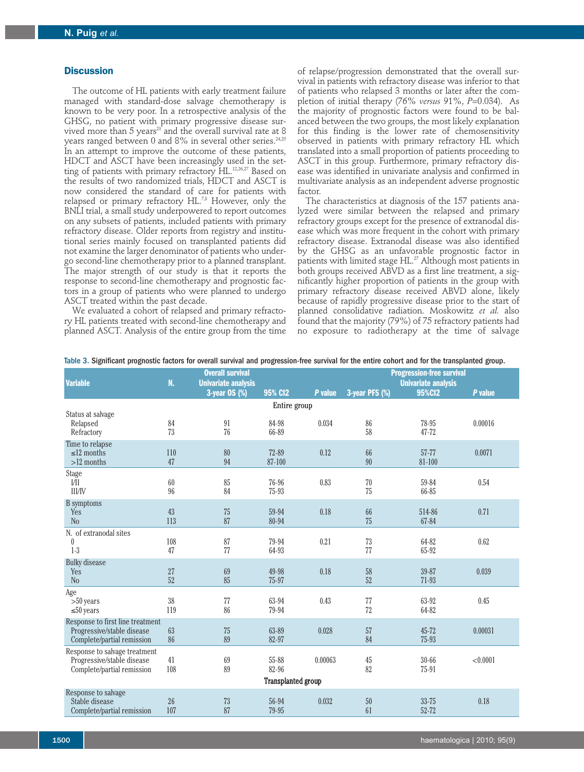#### **Discussion**

The outcome of HL patients with early treatment failure managed with standard-dose salvage chemotherapy is known to be very poor. In a retrospective analysis of the GHSG, no patient with primary progressive disease survived more than 5 years <sup>23</sup> and the overall survival rate at 8 years ranged between  $0$  and  $8\%$  in several other series. $^{24,25}$ In an attempt to improve the outcome of these patients, HDCT and ASCT have been increasingly used in the setting of patients with primary refractory HL.<sup>12,26,27</sup> Based on the results of two randomized trials, HDCT and ASCT is now considered the standard of care for patients with relapsed or primary refractory HL. 7,8 However, only the BNLI trial, a small study underpowered to report outcomes on any subsets of patients, included patients with primary refractory disease. Older reports from registry and institutional series mainly focused on transplanted patients did not examine the larger denominator of patients who undergo second-line chemotherapy prior to a planned transplant. The major strength of our study is that it reports the response to second-line chemotherapy and prognostic factors in a group of patients who were planned to undergo ASCT treated within the past decade.

We evaluated a cohort of relapsed and primary refractory HL patients treated with second-line chemotherapy and planned ASCT. Analysis of the entire group from the time

of relapse/progression demonstrated that the overall survival in patients with refractory disease was inferior to that of patients who relapsed 3 months or later after the completion of initial therapy (76% *versus* 91%, *P*=0.034). As the majority of prognostic factors were found to be balanced between the two groups, the most likely explanation for this finding is the lower rate of chemosensitivity observed in patients with primary refractory HL which translated into a small proportion of patients proceeding to ASCT in this group. Furthermore, primary refractory disease was identified in univariate analysis and confirmed in multivariate analysis as an independent adverse prognostic factor.

The characteristics at diagnosis of the 157 patients analyzed were similar between the relapsed and primary refractory groups except for the presence of extranodal disease which was more frequent in the cohort with primary refractory disease. Extranodal disease was also identified by the GHSG as an unfavorable prognostic factor in patients with limited stage HL. <sup>27</sup> Although most patients in both groups received ABVD as a first line treatment, a significantly higher proportion of patients in the group with primary refractory disease received ABVD alone, likely because of rapidly progressive disease prior to the start of planned consolidative radiation. Moskowitz *et al.* also found that the majority (79%) of 75 refractory patients had no exposure to radiotherapy at the time of salvage

|  |  | Table 3. Significant prognostic factors for overall survival and progression-free survival for the entire cohort and for the transplanted group. |
|--|--|--------------------------------------------------------------------------------------------------------------------------------------------------|
|--|--|--------------------------------------------------------------------------------------------------------------------------------------------------|

|                                                                                              | N.        | <b>Overall survival</b>                     | <b>Progression-free survival</b>                |                |                |                                      |          |
|----------------------------------------------------------------------------------------------|-----------|---------------------------------------------|-------------------------------------------------|----------------|----------------|--------------------------------------|----------|
| <b>Variable</b>                                                                              |           | <b>Univariate analysis</b><br>3-year OS (%) | 95% CI2                                         | <b>P</b> value | 3-year PFS (%) | <b>Univariate analysis</b><br>95%Cl2 | P value  |
|                                                                                              |           |                                             | Entire group                                    |                |                |                                      |          |
| Status at salvage<br>Relapsed<br>Refractory                                                  | 84<br>73  | 91<br>76                                    | 84-98<br>66-89                                  | 0.034          | 86<br>58       | 78-95<br>47-72                       | 0.00016  |
| Time to relapse<br>$\leq$ 12 months<br>$>12$ months                                          | 110<br>47 | 80<br>94                                    | $72 - 89$<br>87-100                             | 0.12           | 66<br>90       | 57-77<br>$81 - 100$                  | 0.0071   |
| Stage<br>1/11<br><b>III/IV</b>                                                               | 60<br>96  | 85<br>84                                    | 76-96<br>$75 - 93$                              | 0.83           | $70\,$<br>75   | 59-84<br>66-85                       | 0.54     |
| <b>B</b> symptoms<br>Yes<br>N <sub>o</sub>                                                   | 43<br>113 | 75<br>87                                    | 59-94<br>80-94                                  | 0.18           | 66<br>75       | 514-86<br>67-84                      | 0.71     |
| N. of extranodal sites<br>0<br>$1-3$                                                         | 108<br>47 | 87<br>77                                    | 79-94<br>64-93                                  | 0.21           | 73<br>77       | 64-82<br>65-92                       | 0.62     |
| <b>Bulky</b> disease<br>Yes<br>No                                                            | 27<br>52  | 69<br>85                                    | 49-98<br>75-97                                  | 0.18           | 58<br>52       | 39-87<br>$71-93$                     | 0.039    |
| Age<br>$>50$ years<br>$\leq 50$ years                                                        | 38<br>119 | 77<br>86                                    | 63-94<br>79-94                                  | 0.43           | 77<br>72       | 63-92<br>64-82                       | 0.45     |
| Response to first line treatment<br>Progressive/stable disease<br>Complete/partial remission | 63<br>86  | 75<br>89                                    | 63-89<br>82-97                                  | 0.028          | 57<br>84       | $45 - 72$<br>75-93                   | 0.00031  |
| Response to salvage treatment<br>Progressive/stable disease<br>Complete/partial remission    | 41<br>108 | 69<br>89                                    | 55-88<br>$82 - 96$<br><b>Transplanted group</b> | 0.00063        | 45<br>82       | $30 - 66$<br>75-91                   | < 0.0001 |
| Response to salvage<br>Stable disease<br>Complete/partial remission                          | 26<br>107 | 73<br>87                                    | 56-94<br>79-95                                  | 0.032          | 50<br>61       | 33-75<br>$52 - 72$                   | 0.18     |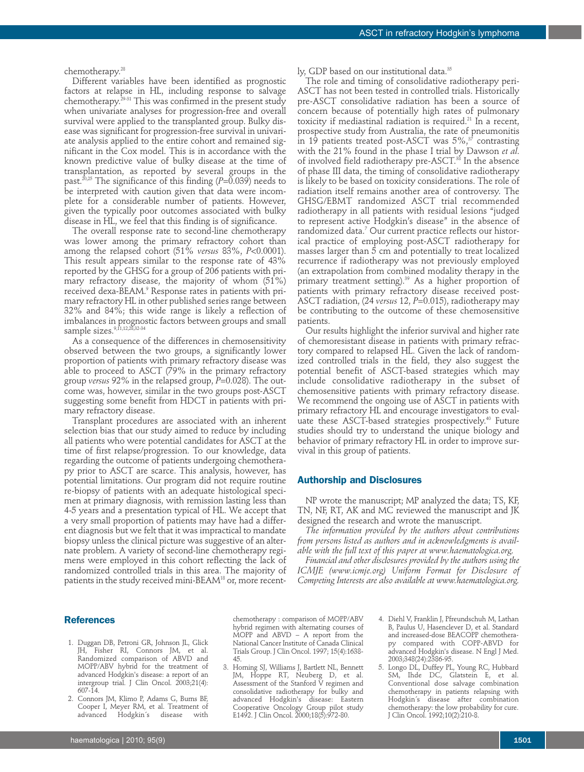chemotherapy. 28

Different variables have been identified as prognostic factors at relapse in HL, including response to salvage chemotherapy. 29-31 This was confirmed in the present study when univariate analyses for progression-free and overall survival were applied to the transplanted group. Bulky disease was significant for progression-free survival in univariate analysis applied to the entire cohort and remained significant in the Cox model. This is in accordance with the known predictive value of bulky disease at the time of transplantation, as reported by several groups in the past. 20,25 The significance of this finding (*P*=0.039) needs to be interpreted with caution given that data were incomplete for a considerable number of patients. However, given the typically poor outcomes associated with bulky disease in HL, we feel that this finding is of significance.

The overall response rate to second-line chemotherapy was lower among the primary refractory cohort than among the relapsed cohort (51% *versus* 83%, *P*<0.0001). This result appears similar to the response rate of 43% reported by the GHSG for a group of 206 patients with primary refractory disease, the majority of whom (51%) received dexa-BEAM. <sup>9</sup> Response rates in patients with primary refractory HL in other published series range between 32% and 84%; this wide range is likely a reflection of imbalances in prognostic factors between groups and small sample sizes. 9,11,12,28,32-34

As a consequence of the differences in chemosensitivity observed between the two groups, a significantly lower proportion of patients with primary refractory disease was able to proceed to ASCT  $(79\%$  in the primary refractory group *versus* 92% in the relapsed group, *P*=0.028). The outcome was, however, similar in the two groups post-ASCT suggesting some benefit from HDCT in patients with primary refractory disease.

Transplant procedures are associated with an inherent selection bias that our study aimed to reduce by including all patients who were potential candidates for ASCT at the time of first relapse/progression. To our knowledge, data regarding the outcome of patients undergoing chemotherapy prior to ASCT are scarce. This analysis, however, has potential limitations. Our program did not require routine re-biopsy of patients with an adequate histological specimen at primary diagnosis, with remission lasting less than 4-5 years and a presentation typical of HL. We accept that a very small proportion of patients may have had a different diagnosis but we felt that it was impractical to mandate biopsy unless the clinical picture was suggestive of an alternate problem. A variety of second-line chemotherapy regimens were employed in this cohort reflecting the lack of randomized controlled trials in this area. The majority of patients in the study received mini-BEAM<sup>18</sup> or, more recently, GDP based on our institutional data. 35

The role and timing of consolidative radiotherapy peri-ASCT has not been tested in controlled trials. Historically pre-ASCT consolidative radiation has been a source of concern because of potentially high rates of pulmonary toxicity if mediastinal radiation is required. <sup>21</sup> In a recent, prospective study from Australia, the rate of pneumonitis in 19 patients treated post-ASCT was  $5\% , ^{\scriptscriptstyle 37}$  contrasting with the 21% found in the phase I trial by Dawson *et al*. of involved field radiotherapy pre-ASCT. <sup>38</sup> In the absence of phase III data, the timing of consolidative radiotherapy is likely to be based on toxicity considerations. The role of radiation itself remains another area of controversy. The GHSG/EBMT randomized ASCT trial recommended radiotherapy in all patients with residual lesions "judged to represent active Hodgkin's disease" in the absence of randomized data. <sup>7</sup> Our current practice reflects our historical practice of employing post-ASCT radiotherapy for masses larger than 5 cm and potentially to treat localized recurrence if radiotherapy was not previously employed (an extrapolation from combined modality therapy in the primary treatment setting). <sup>39</sup> As a higher proportion of patients with primary refractory disease received post-ASCT radiation, (24 *versus* 12, *P*=0.015), radiotherapy may be contributing to the outcome of these chemosensitive patients.

Our results highlight the inferior survival and higher rate of chemoresistant disease in patients with primary refractory compared to relapsed HL. Given the lack of randomized controlled trials in the field, they also suggest the potential benefit of ASCT-based strategies which may include consolidative radiotherapy in the subset of chemosensitive patients with primary refractory disease. We recommend the ongoing use of ASCT in patients with primary refractory HL and encourage investigators to evaluate these ASCT-based strategies prospectively. <sup>40</sup> Future studies should try to understand the unique biology and behavior of primary refractory HL in order to improve survival in this group of patients.

## **Authorship and Disclosures**

NP wrote the manuscript; MP analyzed the data; TS, KF, TN, NF, RT, AK and MC reviewed the manuscript and JK designed the research and wrote the manuscript.

*The information provided by the authors about contributions from persons listed as authors and in acknowledgments is available with the full text of this paper at www.haematologica.org.*

*Financial and other disclosures provided by the authors using the ICMJE (www.icmje.org) Uniform Format for Disclosure of Competing Interests are also available at www.haematologica.org.*

#### **References**

- 1. Duggan DB, Petroni GR, Johnson JL, Glick JH, Fisher RI, Connors JM, et al. Randomized comparison of ABVD and MOPP/ABV hybrid for the treatment of advanced Hodgkin's disease: a report of an intergroup trial. J Clin Oncol. 2003;21(4): 607-14.
- 2. Connors JM, Klimo P, Adams G, Burns BF, Cooper I, Meyer RM, et al. Treatment of<br>advanced Hodgkin's disease with advanced Hodgkin's disease

chemotherapy : comparison of MOPP/ABV hybrid regimen with alternating courses of MOPP and ABVD – A report from the National Cancer Institute of Canada Clinical Trials Group. J Clin Oncol. 1997; 15(4):1638- 45.

- 3. Horning SJ, Williams J, Bartlett NL, Bennett JM, Hoppe RT, Neuberg D, et al. Assessment of the Stanford V regimen and consolidative radiotherapy for bulky and advanced Hodgkin's Cooperative Oncology Group pilot study E1492. J Clin Oncol. 2000;18(5):972-80.
- 4. Diehl V, Franklin J, Pfreundschuh M, Lathan B, Paulus U, Hasenclever D, et al. Standard and increased-dose BEACOPP chemotherapy compared with COPP-ABVD for advanced Hodgkin's disease. N Engl J Med. 2003;348(24):2386-95.
- 5. Longo DL, Duffey PL, Young RC, Hubbard SM, Ihde DC, Glatstein E, et al. Conventional dose salvage combination chemotherapy in patients relapsing with Hodgkin´s disease after combination chemotherapy: the low probability for cure. J Clin Oncol. 1992;10(2):210-8.